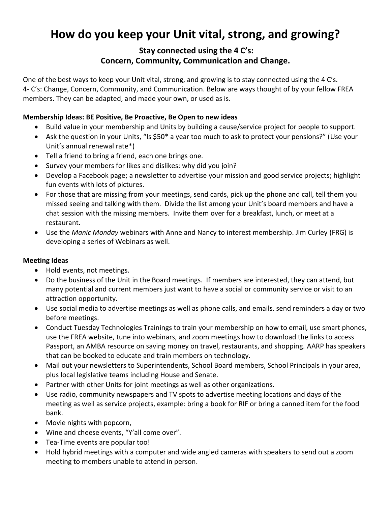# **How do you keep your Unit vital, strong, and growing?**

# **Stay connected using the 4 C's: Concern, Community, Communication and Change.**

One of the best ways to keep your Unit vital, strong, and growing is to stay connected using the 4 C's. 4- C's: Change, Concern, Community, and Communication. Below are ways thought of by your fellow FREA members. They can be adapted, and made your own, or used as is.

## **Membership Ideas: BE Positive, Be Proactive, Be Open to new ideas**

- Build value in your membership and Units by building a cause/service project for people to support.
- Ask the question in your Units, "Is \$50\* a year too much to ask to protect your pensions?" (Use your Unit's annual renewal rate\*)
- Tell a friend to bring a friend, each one brings one.
- Survey your members for likes and dislikes: why did you join?
- Develop a Facebook page; a newsletter to advertise your mission and good service projects; highlight fun events with lots of pictures.
- For those that are missing from your meetings, send cards, pick up the phone and call, tell them you missed seeing and talking with them. Divide the list among your Unit's board members and have a chat session with the missing members. Invite them over for a breakfast, lunch, or meet at a restaurant.
- Use the *Manic Monday* webinars with Anne and Nancy to interest membership. Jim Curley (FRG) is developing a series of Webinars as well.

## **Meeting Ideas**

- Hold events, not meetings.
- Do the business of the Unit in the Board meetings. If members are interested, they can attend, but many potential and current members just want to have a social or community service or visit to an attraction opportunity.
- Use social media to advertise meetings as well as phone calls, and emails. send reminders a day or two before meetings.
- Conduct Tuesday Technologies Trainings to train your membership on how to email, use smart phones, use the FREA website, tune into webinars, and zoom meetings how to download the links to access Passport, an AMBA resource on saving money on travel, restaurants, and shopping. AARP has speakers that can be booked to educate and train members on technology.
- Mail out your newsletters to Superintendents, School Board members, School Principals in your area, plus local legislative teams including House and Senate.
- Partner with other Units for joint meetings as well as other organizations.
- Use radio, community newspapers and TV spots to advertise meeting locations and days of the meeting as well as service projects, example: bring a book for RIF or bring a canned item for the food bank.
- Movie nights with popcorn,
- Wine and cheese events, "Y'all come over".
- Tea-Time events are popular too!
- Hold hybrid meetings with a computer and wide angled cameras with speakers to send out a zoom meeting to members unable to attend in person.